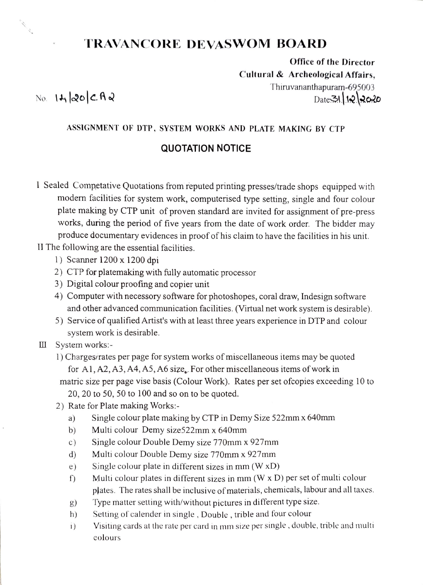# TRAVANCORE DEVASWOM BOARD

Office of the Director Cultural& Archeological Affairs,  $\text{No.} \quad 14 \, \text{a} \cdot \text{c} \cdot \text{A} \cdot \text{a}$ <br>Date 31 12 2020

A. Maria Barat de Barat de la Cardinald de la Cardinald de la Cardinald de la Cardina de la Cardina de la Cardina de la Cardina de la Cardina de la Cardina de la Cardina de la Cardina de la Cardina de la Cardina de la Card

#### ASSIGNMENT OF DTP, SYSTEM wORKS AND PLATE MAKING BY CTP

### QuOTATION NOTICE

I Sealed Competative Quotations from reputed printing presses/trade shops equipped with modern facilities for system work, computerised type setting, single and four colour plate making by CTP unit of proven standard are invited for assignment of pre-press works, during the period of five years from the date of work order. The bidder may produce documentary evidences in proof of his claim to have the facilities in his unit.

II The following are the essential facilities.

- 1) Scanner 1200 x 1200 dpi
- 2) CTP for platemaking with fully automatic processor
- 3) Digital colour proofing and copier unit
- 4) Computer with necessory software for photoshopes, coral draw, Indesign software and other advanced communication facilities. (Virtual net work system is desirable).
- 5) Service of qualified Artist's with at least three years experience in DTP and colour system work is desirable.
- III System works:
	- 1) Charges/rates per page for system works of miscellaneous items may be quoted for Al,A2, A3, A4, AS, A6 size, For other miscellaneous items of work in matric size per page vise basis (Colour Work). Rates per set ofcopies exceeding 10 to 20, 20 to 50, 50 to 100 and so on to be quoted.
	- 2) Rate for Plate making Works:
		- a) Single colour plate making by CTP in Demy Size 522mmx 640mm
		- b) Multi colour Demy size522mm x 640mm
		- c) Single colour Double Demy size 770mm x 927mm
		- d) Multi colour Double Demy size 770mm x 927mm
		- Single colour plate in different sizes in mm (W xD) e)
		- Multi colour plates in different sizes in  $mm$  (W  $\times$  D) per set of multi colour plates. The rates shall be inclusive of materials, chemicals, labour and all taxes. f)
		- Type matter setting with/without pictures in different type size.  $g)$
		- Setting of calender in single , Double , trible and four colour h)
		- Visiting cards at the rate per card in mm size per single, double, trible and multi 1) colours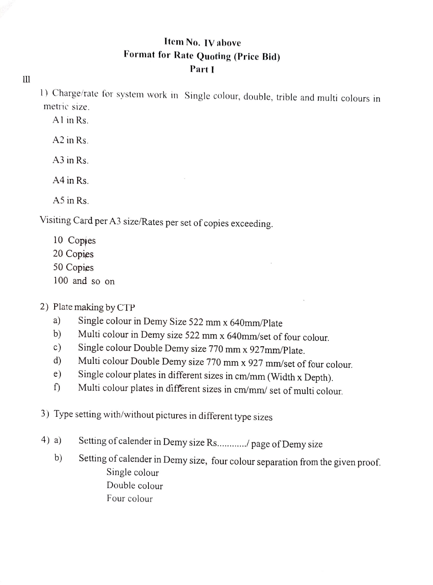## Item No. IV above Format for Rate Quoting (Price Bid) Part I

 $\mathop{\mathrm{III}}% \nolimits_{\mathop{\mathrm{III}}% \nolimits}^{\alpha} \left( \mathop{\mathrm{III}}% \nolimits_{\mathop{\mathrm{III}}% \nolimits}^{\alpha} \right) \sup_{\mathop{\mathrm{III}} \nolimits} \mathop{\mathrm{III}} \nolimits_{\mathop{\mathrm{III}} \nolimits}^{\alpha} \mathop{\mathrm{III}} \nolimits_{\mathop{\mathrm{III}} \nolimits}^{\alpha} \mathop{\mathrm{III}} \nolimits_{\mathop{\mathrm{IV}} \nolimits}^{\alpha}$ 

1) Charge/rate for system work in Single colour, double, trible and multi colours in metric size.

Al in Rs.

A2 in Rs.

A3 in Rs.

A4 in Rs.

A5 in Rs.

Visiting Card per A3 size/Rates per set of copies exceeding

10 Copies 20 Copies 50 Copies 100 and so on

## 2) Plate making by CTP

- Single colour in Demy Size 522 mm x 64Omm/Plate a)
- Multi colour in Demy size 522 mm x 640mm/set of four colour. b)
- Single colour Double Demy size 770 mm x 927mm/Plate. c)
- Multi colour Double Demy size 770 mm x 927 mm/set of four colour. d)
- e)
- Single colour plates in different sizes in cm/mm (Width x Depth). Multi colour plates in different sizes in cm/mm/ set of multi colour  $\Gamma$

3) Type setting with/without pictures in different type sizes

- 4) a) Setting of calender in Demy size Rs............/ page of Demy size
	- b) Setting of calender in Demy size, four colour separation from the given proof. Single colour Double colour Four colour